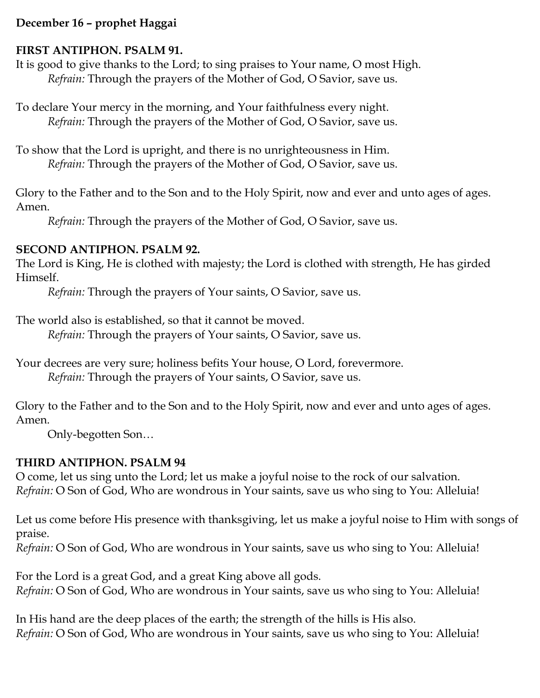### **December 16 – prophet Haggai**

### **FIRST ANTIPHON. PSALM 91.**

It is good to give thanks to the Lord; to sing praises to Your name, O most High. *Refrain:* Through the prayers of the Mother of God, O Savior, save us.

To declare Your mercy in the morning, and Your faithfulness every night. *Refrain:* Through the prayers of the Mother of God, O Savior, save us.

To show that the Lord is upright, and there is no unrighteousness in Him. *Refrain:* Through the prayers of the Mother of God, O Savior, save us.

Glory to the Father and to the Son and to the Holy Spirit, now and ever and unto ages of ages. Amen.

*Refrain:* Through the prayers of the Mother of God, O Savior, save us.

#### **SECOND ANTIPHON. PSALM 92.**

The Lord is King, He is clothed with majesty; the Lord is clothed with strength, He has girded Himself.

*Refrain:* Through the prayers of Your saints, O Savior, save us.

The world also is established, so that it cannot be moved.

*Refrain:* Through the prayers of Your saints, O Savior, save us.

Your decrees are very sure; holiness befits Your house, O Lord, forevermore. *Refrain:* Through the prayers of Your saints, O Savior, save us.

Glory to the Father and to the Son and to the Holy Spirit, now and ever and unto ages of ages. Amen.

Only-begotten Son…

### **THIRD ANTIPHON. PSALM 94**

O come, let us sing unto the Lord; let us make a joyful noise to the rock of our salvation. *Refrain:* O Son of God, Who are wondrous in Your saints, save us who sing to You: Alleluia!

Let us come before His presence with thanksgiving, let us make a joyful noise to Him with songs of praise.

*Refrain:* O Son of God, Who are wondrous in Your saints, save us who sing to You: Alleluia!

For the Lord is a great God, and a great King above all gods. *Refrain:* O Son of God, Who are wondrous in Your saints, save us who sing to You: Alleluia!

In His hand are the deep places of the earth; the strength of the hills is His also. *Refrain:* O Son of God, Who are wondrous in Your saints, save us who sing to You: Alleluia!